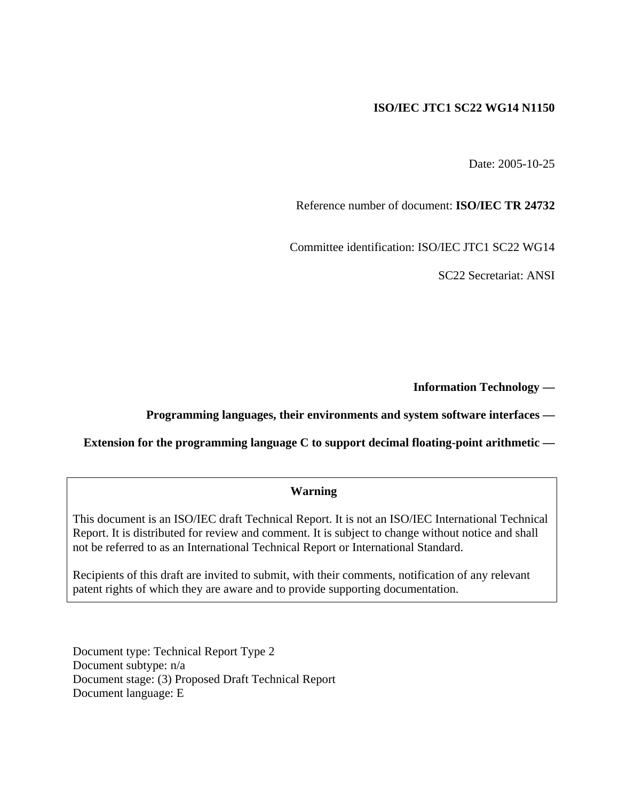### **ISO/IEC JTC1 SC22 WG14 N1150**

Date: 2005-10-25

Reference number of document: **ISO/IEC TR 24732** 

Committee identification: ISO/IEC JTC1 SC22 WG14

SC22 Secretariat: ANSI

**Information Technology —** 

### **Programming languages, their environments and system software interfaces —**

**Extension for the programming language C to support decimal floating-point arithmetic —** 

### **Warning**

This document is an ISO/IEC draft Technical Report. It is not an ISO/IEC International Technical Report. It is distributed for review and comment. It is subject to change without notice and shall not be referred to as an International Technical Report or International Standard.

Recipients of this draft are invited to submit, with their comments, notification of any relevant patent rights of which they are aware and to provide supporting documentation.

Document type: Technical Report Type 2 Document subtype: n/a Document stage: (3) Proposed Draft Technical Report Document language: E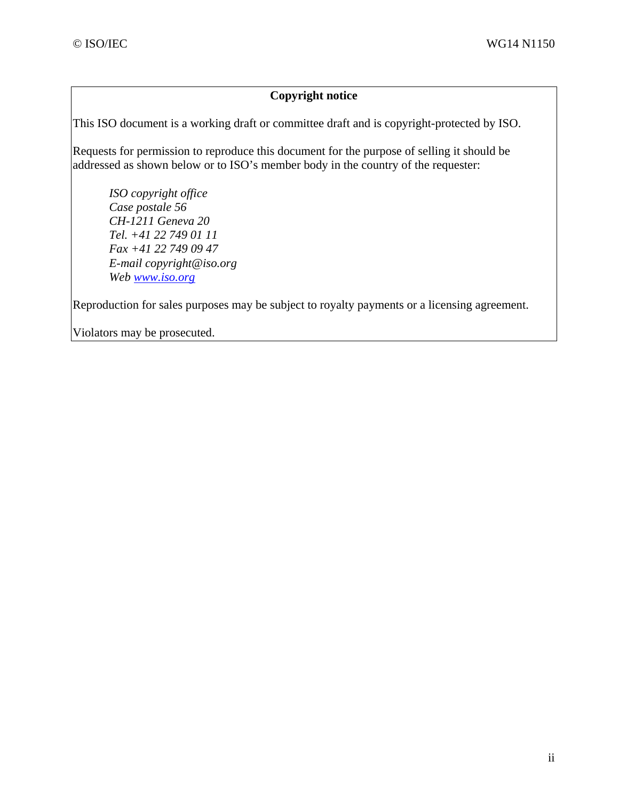### **Copyright notice**

This ISO document is a working draft or committee draft and is copyright-protected by ISO.

Requests for permission to reproduce this document for the purpose of selling it should be addressed as shown below or to ISO's member body in the country of the requester:

*ISO copyright office Case postale 56 CH-1211 Geneva 20 Tel. +41 22 749 01 11 Fax +41 22 749 09 47 E-mail copyright@iso.org Web www.iso.org*

Reproduction for sales purposes may be subject to royalty payments or a licensing agreement.

Violators may be prosecuted.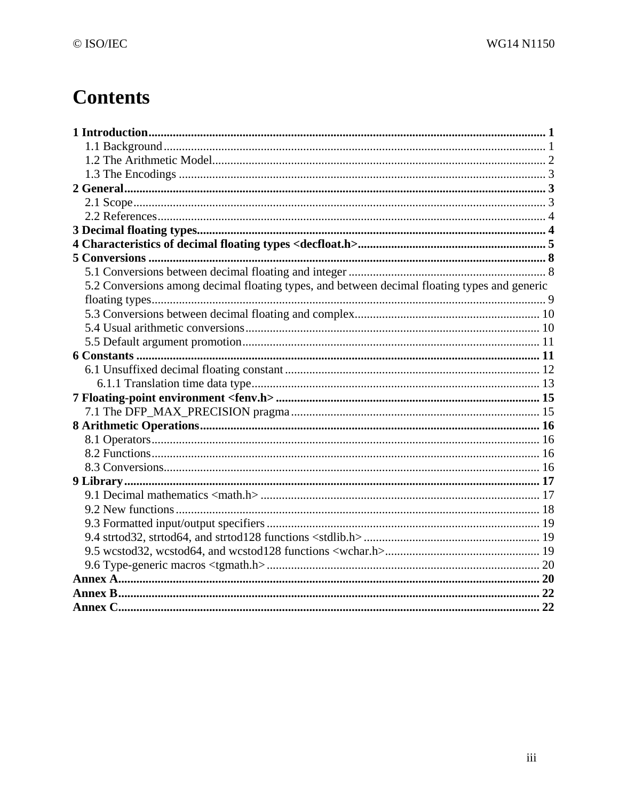# **Contents**

| 5.2 Conversions among decimal floating types, and between decimal floating types and generic |  |
|----------------------------------------------------------------------------------------------|--|
|                                                                                              |  |
|                                                                                              |  |
|                                                                                              |  |
|                                                                                              |  |
|                                                                                              |  |
|                                                                                              |  |
|                                                                                              |  |
|                                                                                              |  |
|                                                                                              |  |
|                                                                                              |  |
|                                                                                              |  |
|                                                                                              |  |
|                                                                                              |  |
|                                                                                              |  |
|                                                                                              |  |
|                                                                                              |  |
|                                                                                              |  |
|                                                                                              |  |
|                                                                                              |  |
|                                                                                              |  |
|                                                                                              |  |
|                                                                                              |  |
|                                                                                              |  |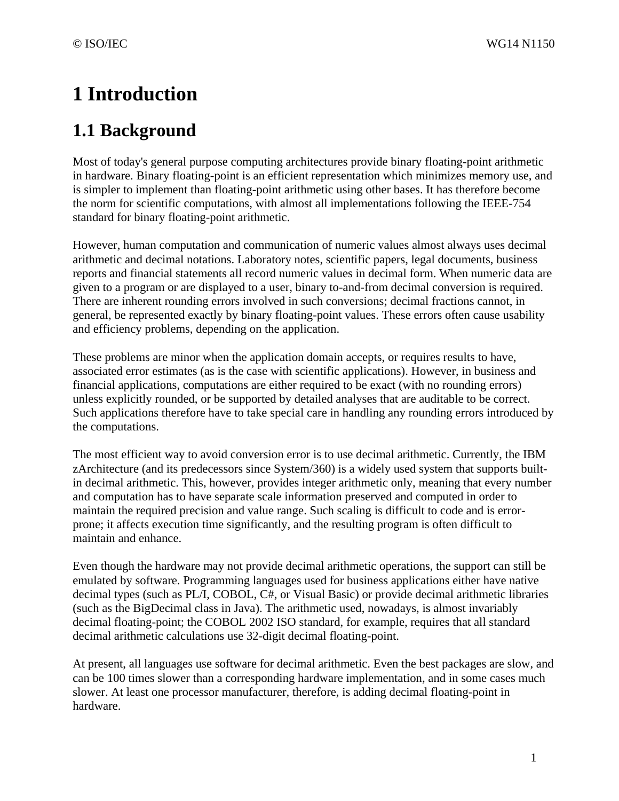# **1 Introduction**

# **1.1 Background**

Most of today's general purpose computing architectures provide binary floating-point arithmetic in hardware. Binary floating-point is an efficient representation which minimizes memory use, and is simpler to implement than floating-point arithmetic using other bases. It has therefore become the norm for scientific computations, with almost all implementations following the IEEE-754 standard for binary floating-point arithmetic.

However, human computation and communication of numeric values almost always uses decimal arithmetic and decimal notations. Laboratory notes, scientific papers, legal documents, business reports and financial statements all record numeric values in decimal form. When numeric data are given to a program or are displayed to a user, binary to-and-from decimal conversion is required. There are inherent rounding errors involved in such conversions; decimal fractions cannot, in general, be represented exactly by binary floating-point values. These errors often cause usability and efficiency problems, depending on the application.

These problems are minor when the application domain accepts, or requires results to have, associated error estimates (as is the case with scientific applications). However, in business and financial applications, computations are either required to be exact (with no rounding errors) unless explicitly rounded, or be supported by detailed analyses that are auditable to be correct. Such applications therefore have to take special care in handling any rounding errors introduced by the computations.

The most efficient way to avoid conversion error is to use decimal arithmetic. Currently, the IBM zArchitecture (and its predecessors since System/360) is a widely used system that supports builtin decimal arithmetic. This, however, provides integer arithmetic only, meaning that every number and computation has to have separate scale information preserved and computed in order to maintain the required precision and value range. Such scaling is difficult to code and is errorprone; it affects execution time significantly, and the resulting program is often difficult to maintain and enhance.

Even though the hardware may not provide decimal arithmetic operations, the support can still be emulated by software. Programming languages used for business applications either have native decimal types (such as PL/I, COBOL, C#, or Visual Basic) or provide decimal arithmetic libraries (such as the BigDecimal class in Java). The arithmetic used, nowadays, is almost invariably decimal floating-point; the COBOL 2002 ISO standard, for example, requires that all standard decimal arithmetic calculations use 32-digit decimal floating-point.

At present, all languages use software for decimal arithmetic. Even the best packages are slow, and can be 100 times slower than a corresponding hardware implementation, and in some cases much slower. At least one processor manufacturer, therefore, is adding decimal floating-point in hardware.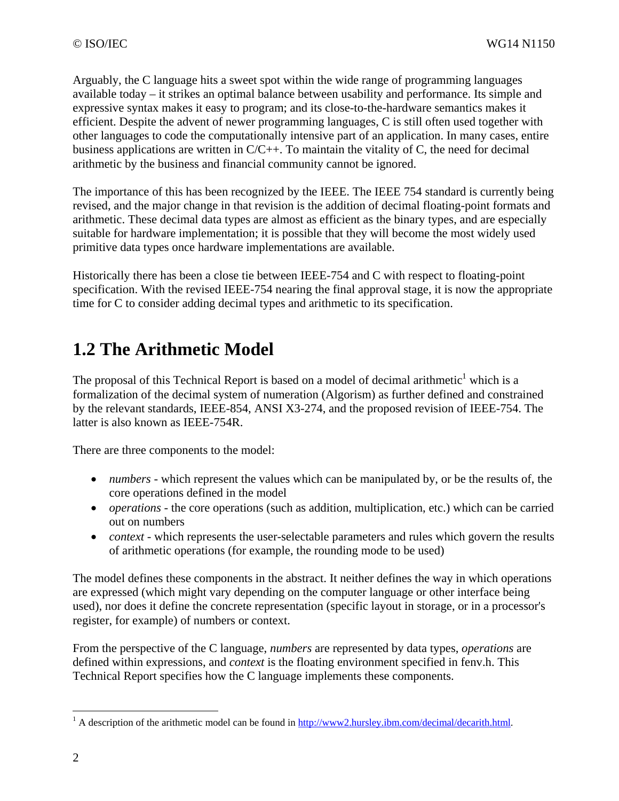Arguably, the C language hits a sweet spot within the wide range of programming languages available today – it strikes an optimal balance between usability and performance. Its simple and expressive syntax makes it easy to program; and its close-to-the-hardware semantics makes it efficient. Despite the advent of newer programming languages, C is still often used together with other languages to code the computationally intensive part of an application. In many cases, entire business applications are written in  $C/C++$ . To maintain the vitality of C, the need for decimal arithmetic by the business and financial community cannot be ignored.

The importance of this has been recognized by the IEEE. The IEEE 754 standard is currently being revised, and the major change in that revision is the addition of decimal floating-point formats and arithmetic. These decimal data types are almost as efficient as the binary types, and are especially suitable for hardware implementation; it is possible that they will become the most widely used primitive data types once hardware implementations are available.

Historically there has been a close tie between IEEE-754 and C with respect to floating-point specification. With the revised IEEE-754 nearing the final approval stage, it is now the appropriate time for C to consider adding decimal types and arithmetic to its specification.

# **1.2 The Arithmetic Model**

The proposal of this Technical Report is based on a model of decimal arithmetic<sup>1</sup> which is a formalization of the decimal system of numeration (Algorism) as further defined and constrained by the relevant standards, IEEE-854, ANSI X3-274, and the proposed revision of IEEE-754. The latter is also known as IEEE-754R.

There are three components to the model:

- *numbers* which represent the values which can be manipulated by, or be the results of, the core operations defined in the model
- *operations* the core operations (such as addition, multiplication, etc.) which can be carried out on numbers
- *context* which represents the user-selectable parameters and rules which govern the results of arithmetic operations (for example, the rounding mode to be used)

The model defines these components in the abstract. It neither defines the way in which operations are expressed (which might vary depending on the computer language or other interface being used), nor does it define the concrete representation (specific layout in storage, or in a processor's register, for example) of numbers or context.

From the perspective of the C language, *numbers* are represented by data types, *operations* are defined within expressions, and *context* is the floating environment specified in fenv.h. This Technical Report specifies how the C language implements these components.

<u>.</u>

<sup>&</sup>lt;sup>1</sup> A description of the arithmetic model can be found in  $\frac{http://www2.hursley.ibm.com/decimal/decimal.html.}{}$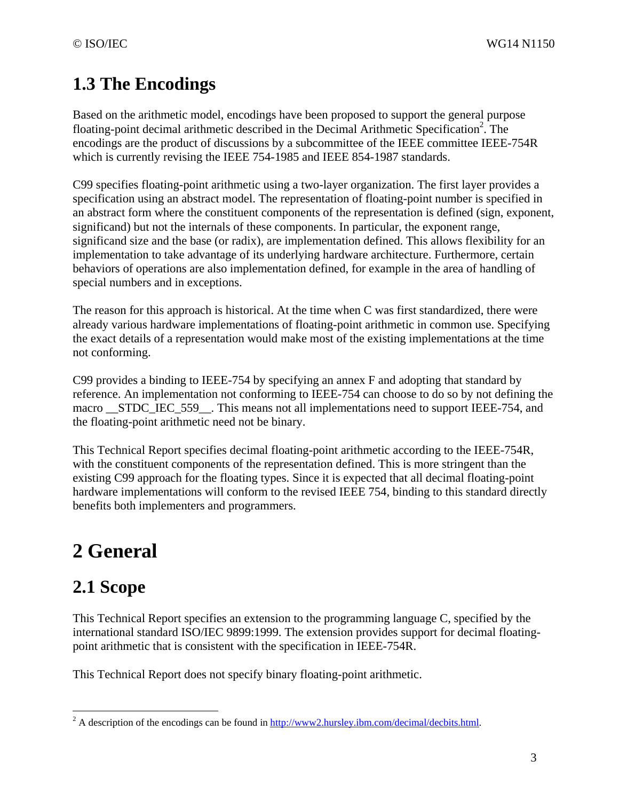## **1.3 The Encodings**

Based on the arithmetic model, encodings have been proposed to support the general purpose floating-point decimal arithmetic described in the Decimal Arithmetic Specification<sup>2</sup>. The encodings are the product of discussions by a subcommittee of the IEEE committee IEEE-754R which is currently revising the IEEE 754-1985 and IEEE 854-1987 standards.

C99 specifies floating-point arithmetic using a two-layer organization. The first layer provides a specification using an abstract model. The representation of floating-point number is specified in an abstract form where the constituent components of the representation is defined (sign, exponent, significand) but not the internals of these components. In particular, the exponent range, significand size and the base (or radix), are implementation defined. This allows flexibility for an implementation to take advantage of its underlying hardware architecture. Furthermore, certain behaviors of operations are also implementation defined, for example in the area of handling of special numbers and in exceptions.

The reason for this approach is historical. At the time when C was first standardized, there were already various hardware implementations of floating-point arithmetic in common use. Specifying the exact details of a representation would make most of the existing implementations at the time not conforming.

C99 provides a binding to IEEE-754 by specifying an annex F and adopting that standard by reference. An implementation not conforming to IEEE-754 can choose to do so by not defining the macro STDC IEC 559 . This means not all implementations need to support IEEE-754, and the floating-point arithmetic need not be binary.

This Technical Report specifies decimal floating-point arithmetic according to the IEEE-754R, with the constituent components of the representation defined. This is more stringent than the existing C99 approach for the floating types. Since it is expected that all decimal floating-point hardware implementations will conform to the revised IEEE 754, binding to this standard directly benefits both implementers and programmers.

# **2 General**

# **2.1 Scope**

 $\overline{a}$ 

This Technical Report specifies an extension to the programming language C, specified by the international standard ISO/IEC 9899:1999. The extension provides support for decimal floatingpoint arithmetic that is consistent with the specification in IEEE-754R.

This Technical Report does not specify binary floating-point arithmetic.

<sup>&</sup>lt;sup>2</sup> A description of the encodings can be found in  $\frac{http://www2.hursley.ibm.com/decimal/decbits.html.$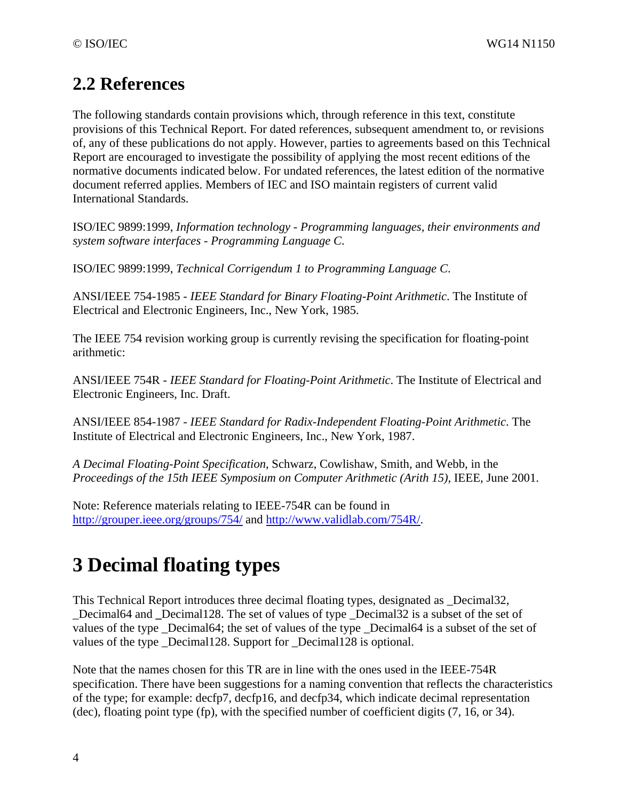## **2.2 References**

The following standards contain provisions which, through reference in this text, constitute provisions of this Technical Report. For dated references, subsequent amendment to, or revisions of, any of these publications do not apply. However, parties to agreements based on this Technical Report are encouraged to investigate the possibility of applying the most recent editions of the normative documents indicated below. For undated references, the latest edition of the normative document referred applies. Members of IEC and ISO maintain registers of current valid International Standards.

ISO/IEC 9899:1999, *Information technology - Programming languages, their environments and system software interfaces - Programming Language C*.

ISO/IEC 9899:1999, *Technical Corrigendum 1 to Programming Language C*.

ANSI/IEEE 754-1985 - *IEEE Standard for Binary Floating-Point Arithmetic*. The Institute of Electrical and Electronic Engineers, Inc., New York, 1985.

The IEEE 754 revision working group is currently revising the specification for floating-point arithmetic:

ANSI/IEEE 754R - *IEEE Standard for Floating-Point Arithmetic*. The Institute of Electrical and Electronic Engineers, Inc. Draft.

ANSI/IEEE 854-1987 - *IEEE Standard for Radix-Independent Floating-Point Arithmetic*. The Institute of Electrical and Electronic Engineers, Inc., New York, 1987.

*A Decimal Floating-Point Specification*, Schwarz, Cowlishaw, Smith, and Webb, in the *Proceedings of the 15th IEEE Symposium on Computer Arithmetic (Arith 15),* IEEE, June 2001.

Note: Reference materials relating to IEEE-754R can be found in http://grouper.ieee.org/groups/754/ and http://www.validlab.com/754R/.

# **3 Decimal floating types**

This Technical Report introduces three decimal floating types, designated as \_Decimal32, \_Decimal64 and **\_**Decimal128. The set of values of type \_Decimal32 is a subset of the set of values of the type \_Decimal64; the set of values of the type \_Decimal64 is a subset of the set of values of the type \_Decimal128. Support for \_Decimal128 is optional.

Note that the names chosen for this TR are in line with the ones used in the IEEE-754R specification. There have been suggestions for a naming convention that reflects the characteristics of the type; for example: decfp7, decfp16, and decfp34, which indicate decimal representation (dec), floating point type (fp), with the specified number of coefficient digits (7, 16, or 34).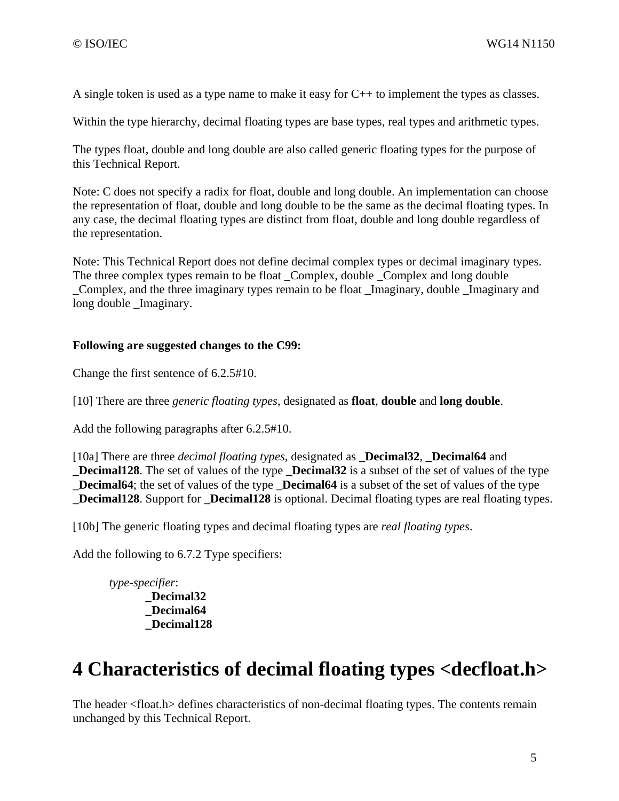A single token is used as a type name to make it easy for C++ to implement the types as classes.

Within the type hierarchy, decimal floating types are base types, real types and arithmetic types.

The types float, double and long double are also called generic floating types for the purpose of this Technical Report.

Note: C does not specify a radix for float, double and long double. An implementation can choose the representation of float, double and long double to be the same as the decimal floating types. In any case, the decimal floating types are distinct from float, double and long double regardless of the representation.

Note: This Technical Report does not define decimal complex types or decimal imaginary types. The three complex types remain to be float \_Complex, double \_Complex and long double \_Complex, and the three imaginary types remain to be float \_Imaginary, double \_Imaginary and long double Imaginary.

### **Following are suggested changes to the C99:**

Change the first sentence of 6.2.5#10.

[10] There are three *generic floating types*, designated as **float**, **double** and **long double**.

Add the following paragraphs after 6.2.5#10.

[10a] There are three *decimal floating types*, designated as **\_Decimal32**, **\_Decimal64** and **\_Decimal128**. The set of values of the type **\_Decimal32** is a subset of the set of values of the type **Decimal64**; the set of values of the type **Decimal64** is a subset of the set of values of the type **\_Decimal128**. Support for **\_Decimal128** is optional. Decimal floating types are real floating types.

[10b] The generic floating types and decimal floating types are *real floating types*.

Add the following to 6.7.2 Type specifiers:

*type-specifier*: **\_Decimal32 \_Decimal64 \_Decimal128** 

# **4 Characteristics of decimal floating types <decfloat.h>**

The header <float.h> defines characteristics of non-decimal floating types. The contents remain unchanged by this Technical Report.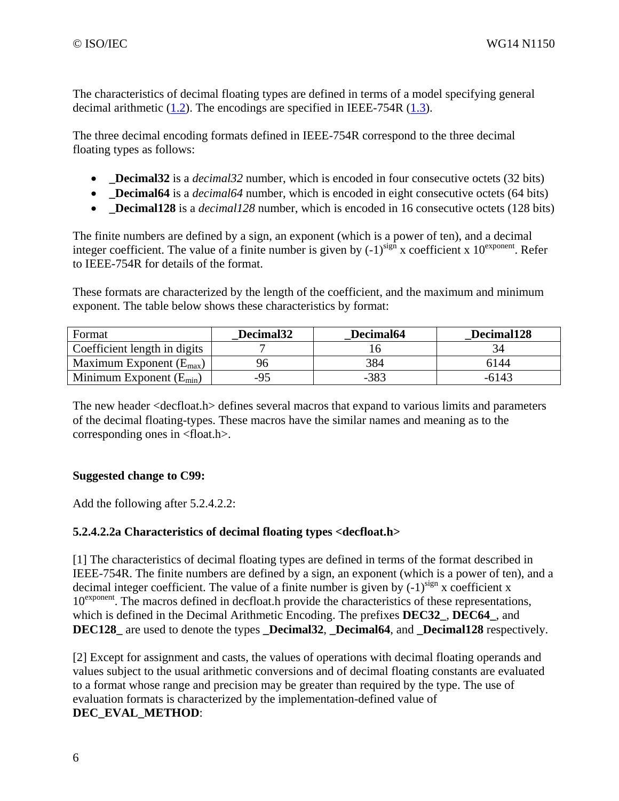The characteristics of decimal floating types are defined in terms of a model specifying general decimal arithmetic (1.2). The encodings are specified in IEEE-754R (1.3).

The three decimal encoding formats defined in IEEE-754R correspond to the three decimal floating types as follows:

- **Decimal32** is a *decimal32* number, which is encoded in four consecutive octets (32 bits)
- **Decimal64** is a *decimal64* number, which is encoded in eight consecutive octets (64 bits)
- **Decimal128** is a *decimal128* number, which is encoded in 16 consecutive octets (128 bits)

The finite numbers are defined by a sign, an exponent (which is a power of ten), and a decimal integer coefficient. The value of a finite number is given by  $(-1)^{sign}$  x coefficient x  $10^{exponent}$ . Refer to IEEE-754R for details of the format.

These formats are characterized by the length of the coefficient, and the maximum and minimum exponent. The table below shows these characteristics by format:

| Format                              | Decimal <sub>32</sub> | Decimal64 | Decimal128 |
|-------------------------------------|-----------------------|-----------|------------|
| Coefficient length in digits        |                       |           |            |
| Maximum Exponent $(E_{\text{max}})$ |                       | 384       | 6144       |
| Minimum Exponent $(E_{min})$        | -95                   | $-383$    | -6143      |

The new header <decfloat.h> defines several macros that expand to various limits and parameters of the decimal floating-types. These macros have the similar names and meaning as to the corresponding ones in <float.h>.

### **Suggested change to C99:**

Add the following after 5.2.4.2.2:

### **5.2.4.2.2a Characteristics of decimal floating types <decfloat.h>**

[1] The characteristics of decimal floating types are defined in terms of the format described in IEEE-754R. The finite numbers are defined by a sign, an exponent (which is a power of ten), and a decimal integer coefficient. The value of a finite number is given by  $(-1)^{sign}$  x coefficient x 10<sup>exponent</sup>. The macros defined in decfloat.h provide the characteristics of these representations, which is defined in the Decimal Arithmetic Encoding. The prefixes **DEC32\_**, **DEC64\_**, and **DEC128** are used to denote the types **Decimal32**, **Decimal64**, and **Decimal128** respectively.

[2] Except for assignment and casts, the values of operations with decimal floating operands and values subject to the usual arithmetic conversions and of decimal floating constants are evaluated to a format whose range and precision may be greater than required by the type. The use of evaluation formats is characterized by the implementation-defined value of **DEC\_EVAL\_METHOD**: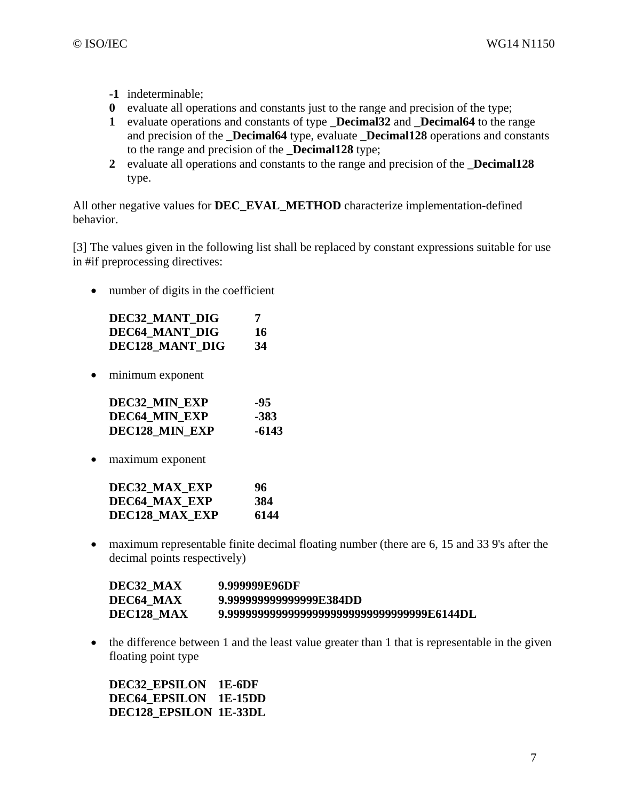- **-1** indeterminable;
- **0** evaluate all operations and constants just to the range and precision of the type;
- **1** evaluate operations and constants of type **\_Decimal32** and **\_Decimal64** to the range and precision of the **\_Decimal64** type, evaluate **\_Decimal128** operations and constants to the range and precision of the **\_Decimal128** type;
- **2** evaluate all operations and constants to the range and precision of the **\_Decimal128** type.

All other negative values for **DEC\_EVAL\_METHOD** characterize implementation-defined behavior.

[3] The values given in the following list shall be replaced by constant expressions suitable for use in #if preprocessing directives:

• number of digits in the coefficient

| <b>DEC32 MANT DIG</b>  | 7  |
|------------------------|----|
| DEC64 MANT DIG         | 16 |
| <b>DEC128 MANT DIG</b> | 34 |

• minimum exponent

| DEC32 MIN EXP         | -95   |
|-----------------------|-------|
| <b>DEC64 MIN EXP</b>  | -383  |
| <b>DEC128 MIN EXP</b> | -6143 |

• maximum exponent

| DEC32 MAX EXP  | 96   |
|----------------|------|
| DEC64 MAX EXP  | 384  |
| DEC128 MAX EXP | 6144 |

• maximum representable finite decimal floating number (there are 6, 15 and 33 9's after the decimal points respectively)

| DEC32 MAX  | 9.999999E96DF                                |
|------------|----------------------------------------------|
| DEC64 MAX  | 9.9999999999999999F.384DD                    |
| DEC128 MAX | 9.99999999999999999999999999999999999F6144DL |

• the difference between 1 and the least value greater than 1 that is representable in the given floating point type

**DEC32\_EPSILON 1E-6DF DEC64\_EPSILON 1E-15DD DEC128\_EPSILON 1E-33DL**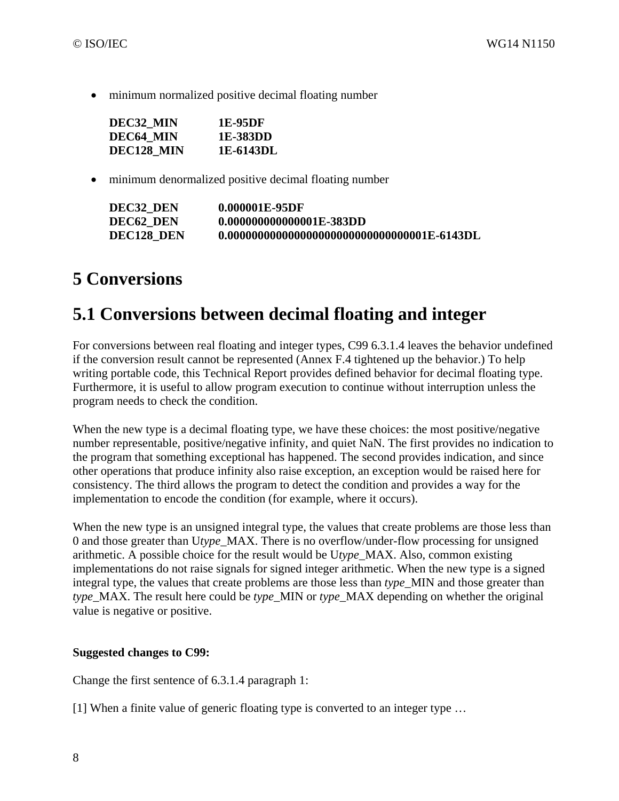• minimum normalized positive decimal floating number

| DEC32 MIN  | 1E-95DF   |
|------------|-----------|
| DEC64 MIN  | 1E-383DD  |
| DEC128 MIN | 1E-6143DL |

• minimum denormalized positive decimal floating number

| DEC32 DEN  | 0.000001E-95DF            |
|------------|---------------------------|
| DEC62 DEN  | 0.0000000000000001E-383DD |
| DEC128 DEN |                           |

## **5 Conversions**

### **5.1 Conversions between decimal floating and integer**

For conversions between real floating and integer types, C99 6.3.1.4 leaves the behavior undefined if the conversion result cannot be represented (Annex F.4 tightened up the behavior.) To help writing portable code, this Technical Report provides defined behavior for decimal floating type. Furthermore, it is useful to allow program execution to continue without interruption unless the program needs to check the condition.

When the new type is a decimal floating type, we have these choices: the most positive/negative number representable, positive/negative infinity, and quiet NaN. The first provides no indication to the program that something exceptional has happened. The second provides indication, and since other operations that produce infinity also raise exception, an exception would be raised here for consistency. The third allows the program to detect the condition and provides a way for the implementation to encode the condition (for example, where it occurs).

When the new type is an unsigned integral type, the values that create problems are those less than 0 and those greater than U*type*\_MAX. There is no overflow/under-flow processing for unsigned arithmetic. A possible choice for the result would be U*type*\_MAX. Also, common existing implementations do not raise signals for signed integer arithmetic. When the new type is a signed integral type, the values that create problems are those less than *type*\_MIN and those greater than *type* MAX. The result here could be *type* MIN or *type* MAX depending on whether the original value is negative or positive.

### **Suggested changes to C99:**

Change the first sentence of 6.3.1.4 paragraph 1:

[1] When a finite value of generic floating type is converted to an integer type …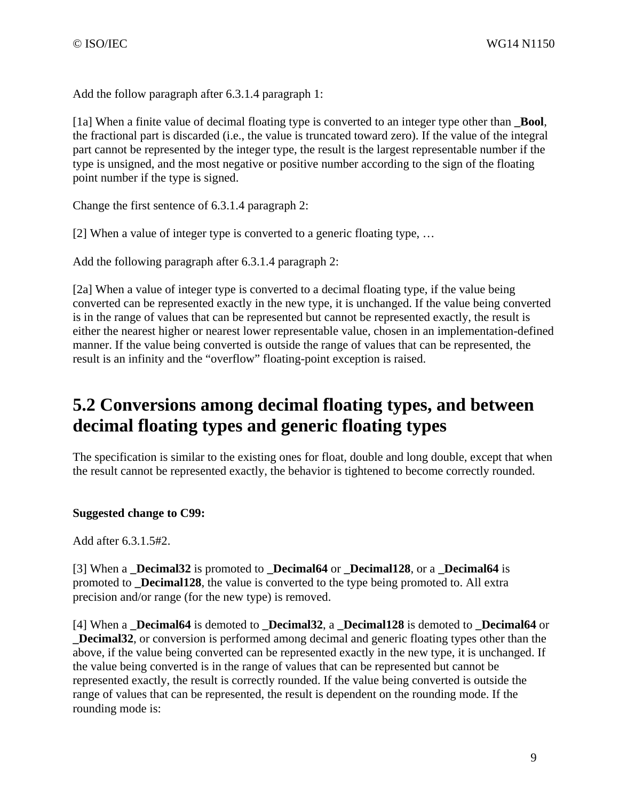Add the follow paragraph after 6.3.1.4 paragraph 1:

[1a] When a finite value of decimal floating type is converted to an integer type other than **\_Bool**, the fractional part is discarded (i.e., the value is truncated toward zero). If the value of the integral part cannot be represented by the integer type, the result is the largest representable number if the type is unsigned, and the most negative or positive number according to the sign of the floating point number if the type is signed.

Change the first sentence of 6.3.1.4 paragraph 2:

[2] When a value of integer type is converted to a generic floating type, …

Add the following paragraph after 6.3.1.4 paragraph 2:

[2a] When a value of integer type is converted to a decimal floating type, if the value being converted can be represented exactly in the new type, it is unchanged. If the value being converted is in the range of values that can be represented but cannot be represented exactly, the result is either the nearest higher or nearest lower representable value, chosen in an implementation-defined manner. If the value being converted is outside the range of values that can be represented, the result is an infinity and the "overflow" floating-point exception is raised.

## **5.2 Conversions among decimal floating types, and between decimal floating types and generic floating types**

The specification is similar to the existing ones for float, double and long double, except that when the result cannot be represented exactly, the behavior is tightened to become correctly rounded.

### **Suggested change to C99:**

Add after 6.3.1.5#2.

[3] When a **\_Decimal32** is promoted to **\_Decimal64** or **\_Decimal128**, or a **\_Decimal64** is promoted to **\_Decimal128**, the value is converted to the type being promoted to. All extra precision and/or range (for the new type) is removed.

[4] When a **\_Decimal64** is demoted to **\_Decimal32**, a **\_Decimal128** is demoted to **\_Decimal64** or **\_Decimal32**, or conversion is performed among decimal and generic floating types other than the above, if the value being converted can be represented exactly in the new type, it is unchanged. If the value being converted is in the range of values that can be represented but cannot be represented exactly, the result is correctly rounded. If the value being converted is outside the range of values that can be represented, the result is dependent on the rounding mode. If the rounding mode is: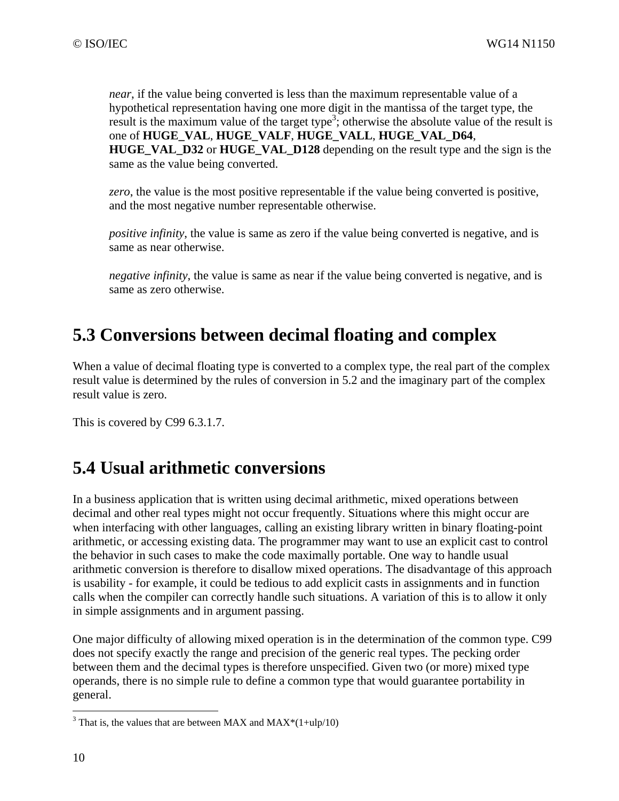*near*, if the value being converted is less than the maximum representable value of a hypothetical representation having one more digit in the mantissa of the target type, the result is the maximum value of the target type<sup>3</sup>; otherwise the absolute value of the result is one of **HUGE\_VAL**, **HUGE\_VALF**, **HUGE\_VALL**, **HUGE\_VAL\_D64**, **HUGE\_VAL\_D32** or **HUGE\_VAL\_D128** depending on the result type and the sign is the same as the value being converted.

*zero*, the value is the most positive representable if the value being converted is positive, and the most negative number representable otherwise.

*positive infinity*, the value is same as zero if the value being converted is negative, and is same as near otherwise.

*negative infinity*, the value is same as near if the value being converted is negative, and is same as zero otherwise.

## **5.3 Conversions between decimal floating and complex**

When a value of decimal floating type is converted to a complex type, the real part of the complex result value is determined by the rules of conversion in 5.2 and the imaginary part of the complex result value is zero.

This is covered by C99 6.3.1.7.

## **5.4 Usual arithmetic conversions**

In a business application that is written using decimal arithmetic, mixed operations between decimal and other real types might not occur frequently. Situations where this might occur are when interfacing with other languages, calling an existing library written in binary floating-point arithmetic, or accessing existing data. The programmer may want to use an explicit cast to control the behavior in such cases to make the code maximally portable. One way to handle usual arithmetic conversion is therefore to disallow mixed operations. The disadvantage of this approach is usability - for example, it could be tedious to add explicit casts in assignments and in function calls when the compiler can correctly handle such situations. A variation of this is to allow it only in simple assignments and in argument passing.

One major difficulty of allowing mixed operation is in the determination of the common type. C99 does not specify exactly the range and precision of the generic real types. The pecking order between them and the decimal types is therefore unspecified. Given two (or more) mixed type operands, there is no simple rule to define a common type that would guarantee portability in general.

 $\overline{a}$ 

<sup>&</sup>lt;sup>3</sup> That is, the values that are between MAX and MAX<sup>\*</sup>(1+ulp/10)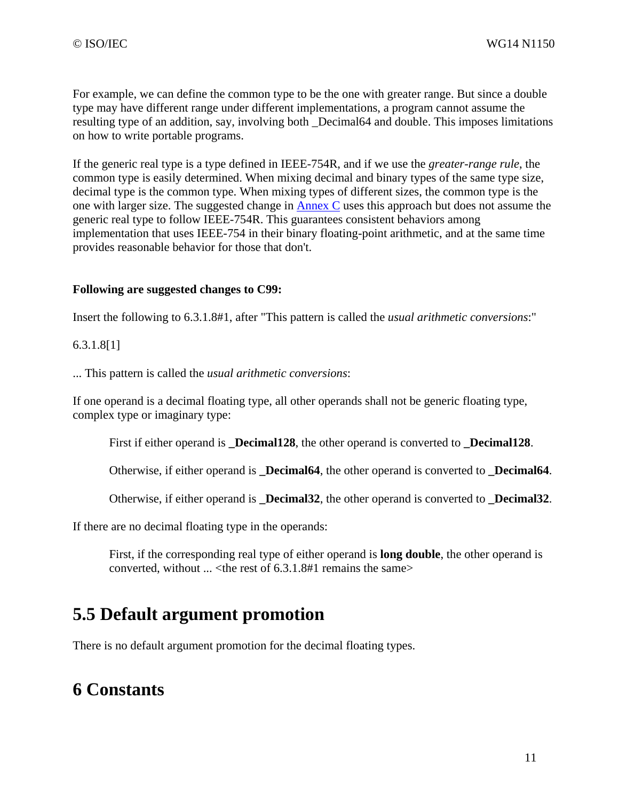For example, we can define the common type to be the one with greater range. But since a double type may have different range under different implementations, a program cannot assume the resulting type of an addition, say, involving both \_Decimal64 and double. This imposes limitations on how to write portable programs.

If the generic real type is a type defined in IEEE-754R, and if we use the *greater-range rule*, the common type is easily determined. When mixing decimal and binary types of the same type size, decimal type is the common type. When mixing types of different sizes, the common type is the one with larger size. The suggested change in Annex C uses this approach but does not assume the generic real type to follow IEEE-754R. This guarantees consistent behaviors among implementation that uses IEEE-754 in their binary floating-point arithmetic, and at the same time provides reasonable behavior for those that don't.

#### **Following are suggested changes to C99:**

Insert the following to 6.3.1.8#1, after "This pattern is called the *usual arithmetic conversions*:"

#### 6.3.1.8[1]

... This pattern is called the *usual arithmetic conversions*:

If one operand is a decimal floating type, all other operands shall not be generic floating type, complex type or imaginary type:

First if either operand is **Decimal128**, the other operand is converted to **Decimal128**.

Otherwise, if either operand is **\_Decimal64**, the other operand is converted to **\_Decimal64**.

Otherwise, if either operand is **\_Decimal32**, the other operand is converted to **\_Decimal32**.

If there are no decimal floating type in the operands:

First, if the corresponding real type of either operand is **long double**, the other operand is converted, without  $\ldots$  < the rest of 6.3.1.8#1 remains the same>

### **5.5 Default argument promotion**

There is no default argument promotion for the decimal floating types.

### **6 Constants**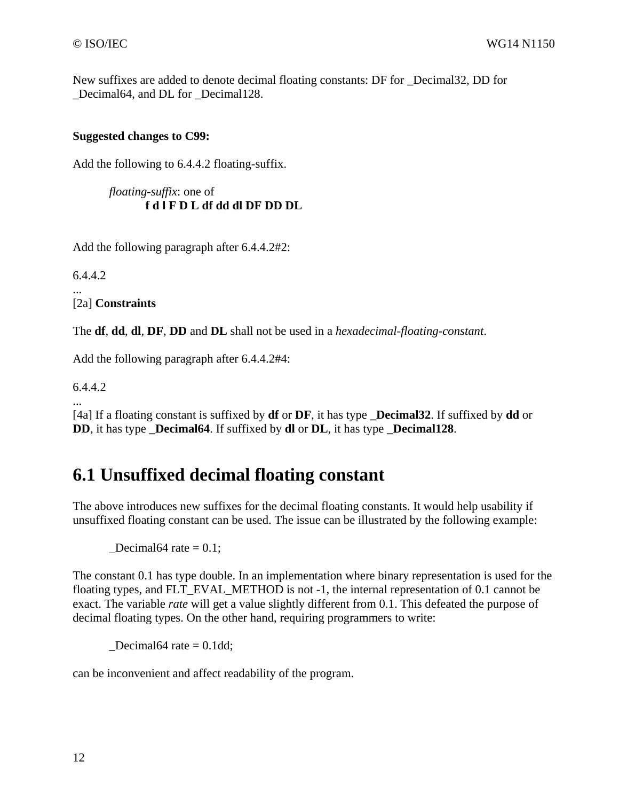New suffixes are added to denote decimal floating constants: DF for \_Decimal32, DD for \_Decimal64, and DL for \_Decimal128.

### **Suggested changes to C99:**

Add the following to 6.4.4.2 floating-suffix.

```
floating-suffix: one of 
f d l F D L df dd dl DF DD DL
```
Add the following paragraph after 6.4.4.2#2:

6.4.4.2

... [2a] **Constraints**

The **df**, **dd**, **dl**, **DF**, **DD** and **DL** shall not be used in a *hexadecimal-floating-constant*.

Add the following paragraph after 6.4.4.2#4:

6.4.4.2

... [4a] If a floating constant is suffixed by **df** or **DF**, it has type **\_Decimal32**. If suffixed by **dd** or **DD**, it has type **\_Decimal64**. If suffixed by **dl** or **DL**, it has type **\_Decimal128**.

### **6.1 Unsuffixed decimal floating constant**

The above introduces new suffixes for the decimal floating constants. It would help usability if unsuffixed floating constant can be used. The issue can be illustrated by the following example:

 $\text{Decimal}64 \text{ rate} = 0.1$ ;

The constant 0.1 has type double. In an implementation where binary representation is used for the floating types, and FLT\_EVAL\_METHOD is not -1, the internal representation of 0.1 cannot be exact. The variable *rate* will get a value slightly different from 0.1. This defeated the purpose of decimal floating types. On the other hand, requiring programmers to write:

Decimal64 rate  $= 0.1$ dd;

can be inconvenient and affect readability of the program.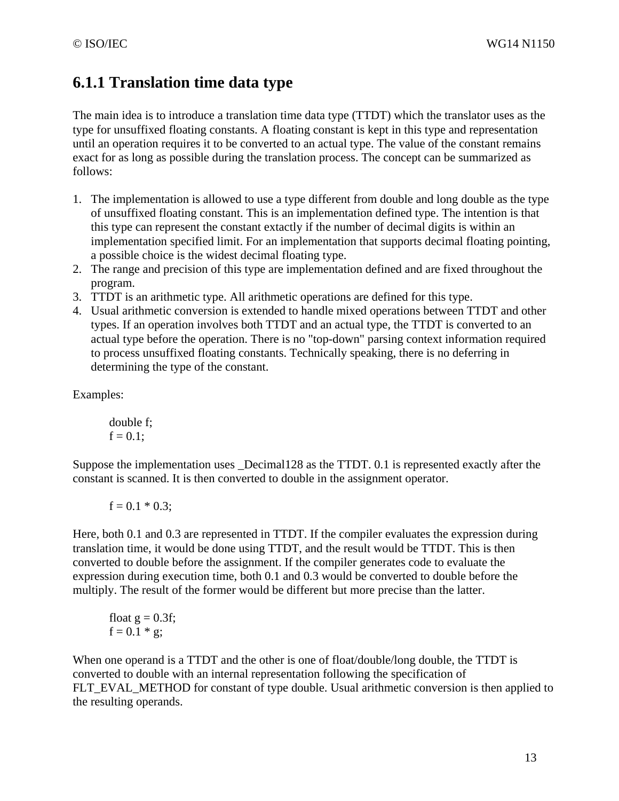### **6.1.1 Translation time data type**

The main idea is to introduce a translation time data type (TTDT) which the translator uses as the type for unsuffixed floating constants. A floating constant is kept in this type and representation until an operation requires it to be converted to an actual type. The value of the constant remains exact for as long as possible during the translation process. The concept can be summarized as follows:

- 1. The implementation is allowed to use a type different from double and long double as the type of unsuffixed floating constant. This is an implementation defined type. The intention is that this type can represent the constant extactly if the number of decimal digits is within an implementation specified limit. For an implementation that supports decimal floating pointing, a possible choice is the widest decimal floating type.
- 2. The range and precision of this type are implementation defined and are fixed throughout the program.
- 3. TTDT is an arithmetic type. All arithmetic operations are defined for this type.
- 4. Usual arithmetic conversion is extended to handle mixed operations between TTDT and other types. If an operation involves both TTDT and an actual type, the TTDT is converted to an actual type before the operation. There is no "top-down" parsing context information required to process unsuffixed floating constants. Technically speaking, there is no deferring in determining the type of the constant.

Examples:

double f;  $f = 0.1$ ;

Suppose the implementation uses \_Decimal128 as the TTDT. 0.1 is represented exactly after the constant is scanned. It is then converted to double in the assignment operator.

 $f = 0.1 * 0.3;$ 

Here, both 0.1 and 0.3 are represented in TTDT. If the compiler evaluates the expression during translation time, it would be done using TTDT, and the result would be TTDT. This is then converted to double before the assignment. If the compiler generates code to evaluate the expression during execution time, both 0.1 and 0.3 would be converted to double before the multiply. The result of the former would be different but more precise than the latter.

float 
$$
g = 0.3f
$$
;  
  $f = 0.1 * g$ ;

When one operand is a TTDT and the other is one of float/double/long double, the TTDT is converted to double with an internal representation following the specification of FLT\_EVAL\_METHOD for constant of type double. Usual arithmetic conversion is then applied to the resulting operands.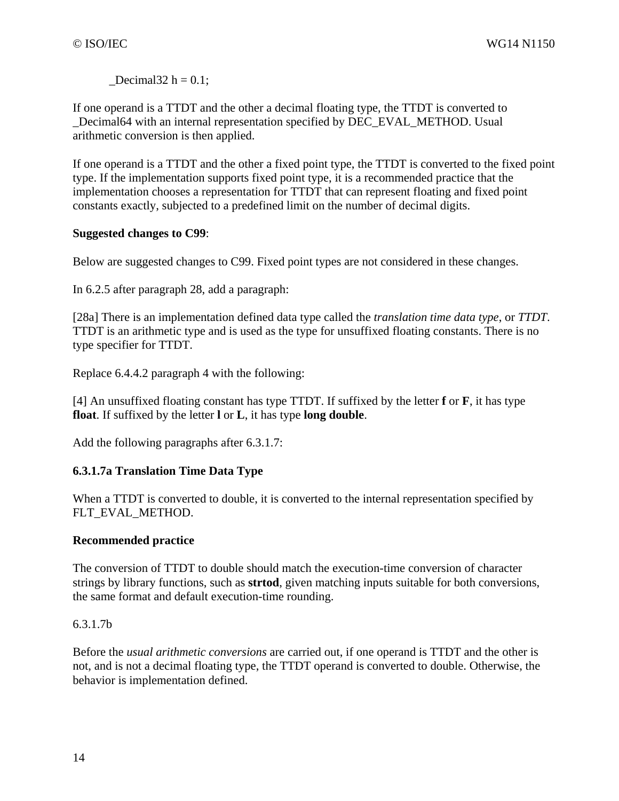$\text{Decimal32 h} = 0.1$ ;

If one operand is a TTDT and the other a decimal floating type, the TTDT is converted to Decimal64 with an internal representation specified by DEC\_EVAL\_METHOD. Usual arithmetic conversion is then applied.

If one operand is a TTDT and the other a fixed point type, the TTDT is converted to the fixed point type. If the implementation supports fixed point type, it is a recommended practice that the implementation chooses a representation for TTDT that can represent floating and fixed point constants exactly, subjected to a predefined limit on the number of decimal digits.

### **Suggested changes to C99**:

Below are suggested changes to C99. Fixed point types are not considered in these changes.

In 6.2.5 after paragraph 28, add a paragraph:

[28a] There is an implementation defined data type called the *translation time data type*, or *TTDT*. TTDT is an arithmetic type and is used as the type for unsuffixed floating constants. There is no type specifier for TTDT.

Replace 6.4.4.2 paragraph 4 with the following:

[4] An unsuffixed floating constant has type TTDT. If suffixed by the letter **f** or **F**, it has type **float**. If suffixed by the letter **l** or **L**, it has type **long double**.

Add the following paragraphs after 6.3.1.7:

### **6.3.1.7a Translation Time Data Type**

When a TTDT is converted to double, it is converted to the internal representation specified by FLT\_EVAL\_METHOD.

### **Recommended practice**

The conversion of TTDT to double should match the execution-time conversion of character strings by library functions, such as **strtod**, given matching inputs suitable for both conversions, the same format and default execution-time rounding.

### 6.3.1.7b

Before the *usual arithmetic conversions* are carried out, if one operand is TTDT and the other is not, and is not a decimal floating type, the TTDT operand is converted to double. Otherwise, the behavior is implementation defined.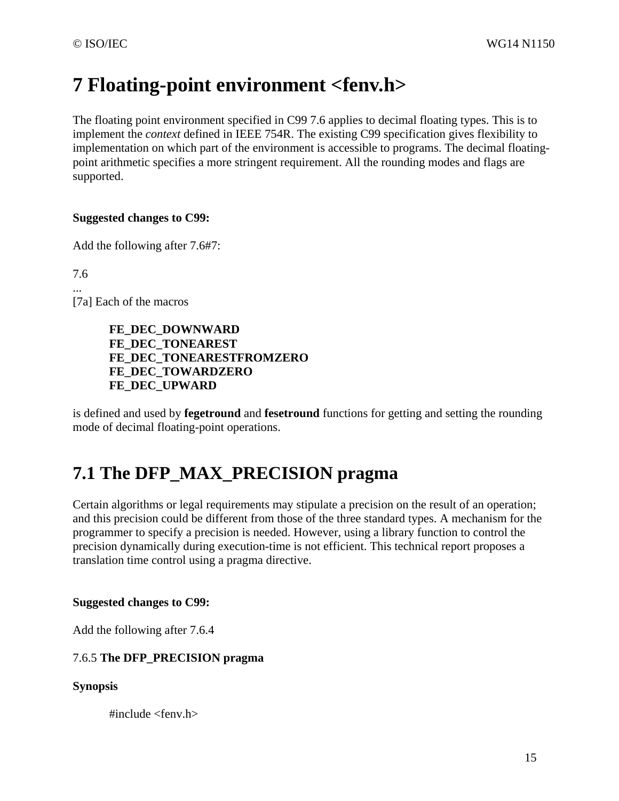# **7 Floating-point environment <fenv.h>**

The floating point environment specified in C99 7.6 applies to decimal floating types. This is to implement the *context* defined in IEEE 754R. The existing C99 specification gives flexibility to implementation on which part of the environment is accessible to programs. The decimal floatingpoint arithmetic specifies a more stringent requirement. All the rounding modes and flags are supported.

### **Suggested changes to C99:**

Add the following after 7.6#7:

7.6 ...

[7a] Each of the macros

**FE\_DEC\_DOWNWARD FE\_DEC\_TONEAREST FE\_DEC\_TONEARESTFROMZERO FE\_DEC\_TOWARDZERO FE\_DEC\_UPWARD**

is defined and used by **fegetround** and **fesetround** functions for getting and setting the rounding mode of decimal floating-point operations.

### **7.1 The DFP\_MAX\_PRECISION pragma**

Certain algorithms or legal requirements may stipulate a precision on the result of an operation; and this precision could be different from those of the three standard types. A mechanism for the programmer to specify a precision is needed. However, using a library function to control the precision dynamically during execution-time is not efficient. This technical report proposes a translation time control using a pragma directive.

#### **Suggested changes to C99:**

Add the following after 7.6.4

### 7.6.5 **The DFP\_PRECISION pragma**

#### **Synopsis**

 $\#$ include  $\le$ fenv.h>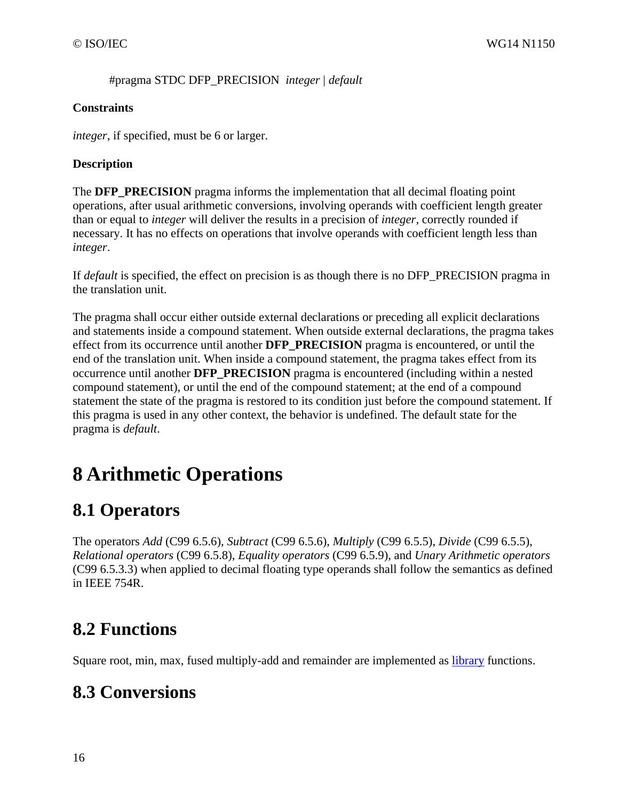#pragma STDC DFP\_PRECISION *integer* | *default*

### **Constraints**

*integer*, if specified, must be 6 or larger.

### **Description**

The **DFP\_PRECISION** pragma informs the implementation that all decimal floating point operations, after usual arithmetic conversions, involving operands with coefficient length greater than or equal to *integer* will deliver the results in a precision of *integer*, correctly rounded if necessary. It has no effects on operations that involve operands with coefficient length less than *integer*.

If *default* is specified, the effect on precision is as though there is no DFP\_PRECISION pragma in the translation unit.

The pragma shall occur either outside external declarations or preceding all explicit declarations and statements inside a compound statement. When outside external declarations, the pragma takes effect from its occurrence until another **DFP\_PRECISION** pragma is encountered, or until the end of the translation unit. When inside a compound statement, the pragma takes effect from its occurrence until another **DFP\_PRECISION** pragma is encountered (including within a nested compound statement), or until the end of the compound statement; at the end of a compound statement the state of the pragma is restored to its condition just before the compound statement. If this pragma is used in any other context, the behavior is undefined. The default state for the pragma is *default*.

# **8 Arithmetic Operations**

## **8.1 Operators**

The operators *Add* (C99 6.5.6), *Subtract* (C99 6.5.6), *Multiply* (C99 6.5.5), *Divide* (C99 6.5.5), *Relational operators* (C99 6.5.8), *Equality operators* (C99 6.5.9), and *Unary Arithmetic operators* (C99 6.5.3.3) when applied to decimal floating type operands shall follow the semantics as defined in IEEE 754R.

# **8.2 Functions**

Square root, min, max, fused multiply-add and remainder are implemented as *library* functions.

## **8.3 Conversions**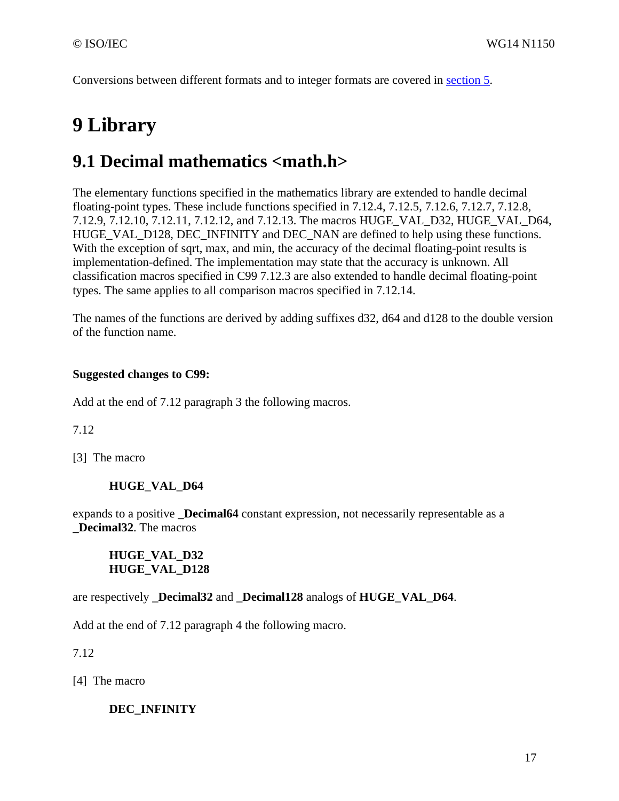Conversions between different formats and to integer formats are covered in section 5.

# **9 Library**

### **9.1 Decimal mathematics <math.h>**

The elementary functions specified in the mathematics library are extended to handle decimal floating-point types. These include functions specified in 7.12.4, 7.12.5, 7.12.6, 7.12.7, 7.12.8, 7.12.9, 7.12.10, 7.12.11, 7.12.12, and 7.12.13. The macros HUGE\_VAL\_D32, HUGE\_VAL\_D64, HUGE\_VAL\_D128, DEC\_INFINITY and DEC\_NAN are defined to help using these functions. With the exception of sqrt, max, and min, the accuracy of the decimal floating-point results is implementation-defined. The implementation may state that the accuracy is unknown. All classification macros specified in C99 7.12.3 are also extended to handle decimal floating-point types. The same applies to all comparison macros specified in 7.12.14.

The names of the functions are derived by adding suffixes d32, d64 and d128 to the double version of the function name.

### **Suggested changes to C99:**

Add at the end of 7.12 paragraph 3 the following macros.

7.12

[3] The macro

### **HUGE\_VAL\_D64**

expands to a positive **Decimal64** constant expression, not necessarily representable as a **\_Decimal32**. The macros

### **HUGE\_VAL\_D32 HUGE\_VAL\_D128**

are respectively **\_Decimal32** and **\_Decimal128** analogs of **HUGE\_VAL\_D64**.

Add at the end of 7.12 paragraph 4 the following macro.

7.12

[4] The macro

### **DEC\_INFINITY**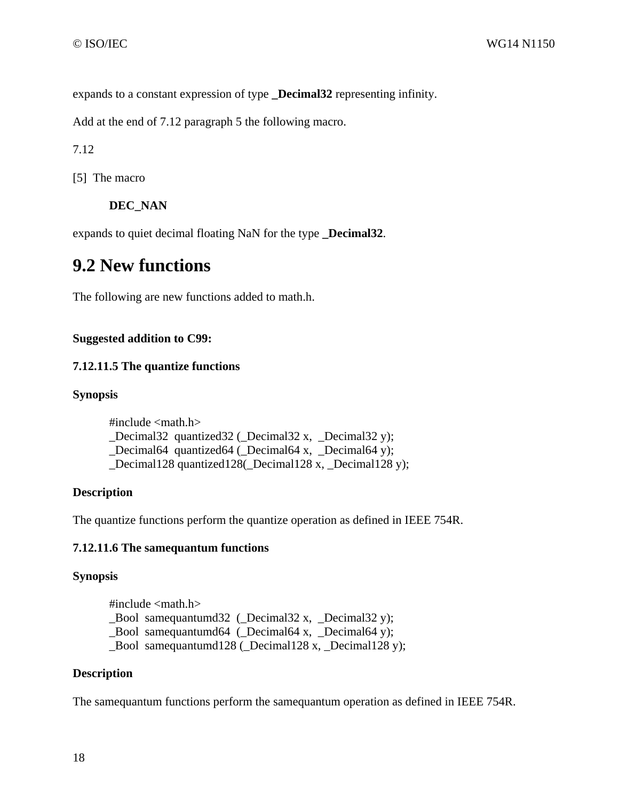expands to a constant expression of type **\_Decimal32** representing infinity.

Add at the end of 7.12 paragraph 5 the following macro.

7.12

[5] The macro

**DEC\_NAN** 

expands to quiet decimal floating NaN for the type **\_Decimal32**.

### **9.2 New functions**

The following are new functions added to math.h.

### **Suggested addition to C99:**

### **7.12.11.5 The quantize functions**

#### **Synopsis**

#include <math.h> \_Decimal32 quantized32 (\_Decimal32 x, \_Decimal32 y); \_Decimal64 quantized64 (\_Decimal64 x, \_Decimal64 y); Decimal128 quantized128( Decimal128 x, Decimal128 y);

### **Description**

The quantize functions perform the quantize operation as defined in IEEE 754R.

### **7.12.11.6 The samequantum functions**

### **Synopsis**

#include  $\langle \text{math.h}\rangle$ \_Bool samequantumd32 (\_Decimal32 x, \_Decimal32 y); Bool samequantumd64 ( $Decimal64 x$ ,  $Decimal64 y$ ); \_Bool samequantumd128 (\_Decimal128 x, \_Decimal128 y);

### **Description**

The samequantum functions perform the samequantum operation as defined in IEEE 754R.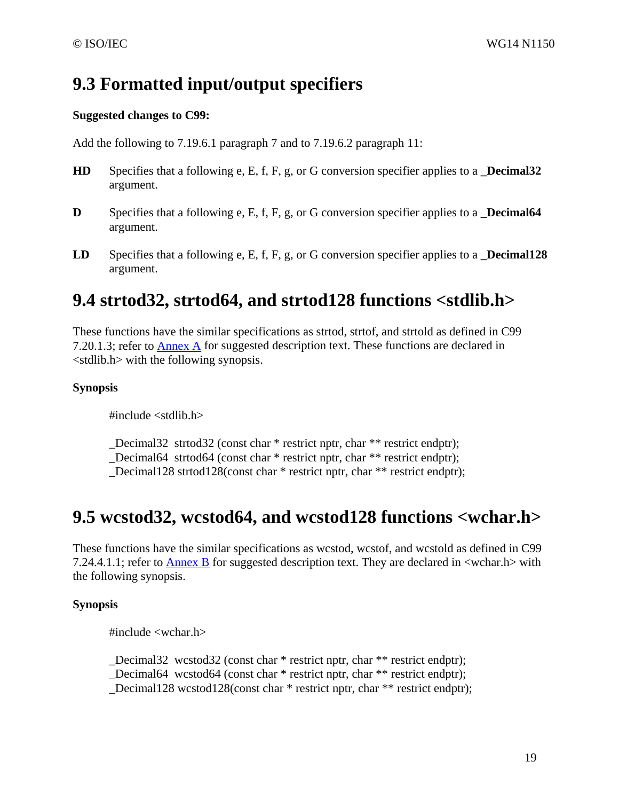## **9.3 Formatted input/output specifiers**

### **Suggested changes to C99:**

Add the following to 7.19.6.1 paragraph 7 and to 7.19.6.2 paragraph 11:

- **HD** Specifies that a following e, E, f, F, g, or G conversion specifier applies to a **\_Decimal32** argument.
- **D** Specifies that a following e, E, f, F, g, or G conversion specifier applies to a **Decimal64** argument.
- **LD** Specifies that a following e, E, f, F, g, or G conversion specifier applies to a **\_Decimal128** argument.

### **9.4 strtod32, strtod64, and strtod128 functions <stdlib.h>**

These functions have the similar specifications as strtod, strtof, and strtold as defined in C99 7.20.1.3; refer to Annex A for suggested description text. These functions are declared in <stdlib.h> with the following synopsis.

### **Synopsis**

#include <stdlib.h>

\_Decimal32 strtod32 (const char \* restrict nptr, char \*\* restrict endptr);

Decimal64 strtod64 (const char \* restrict nptr, char \*\* restrict endptr);

\_Decimal128 strtod128(const char \* restrict nptr, char \*\* restrict endptr);

### **9.5 wcstod32, wcstod64, and wcstod128 functions <wchar.h>**

These functions have the similar specifications as wcstod, wcstof, and wcstold as defined in C99 7.24.4.1.1; refer to Annex B for suggested description text. They are declared in <wchar.h> with the following synopsis.

### **Synopsis**

#include <wchar.h>

\_Decimal32 wcstod32 (const char \* restrict nptr, char \*\* restrict endptr); Decimal64 wcstod64 (const char  $*$  restrict nptr, char  $**$  restrict endptr); \_Decimal128 wcstod128(const char \* restrict nptr, char \*\* restrict endptr);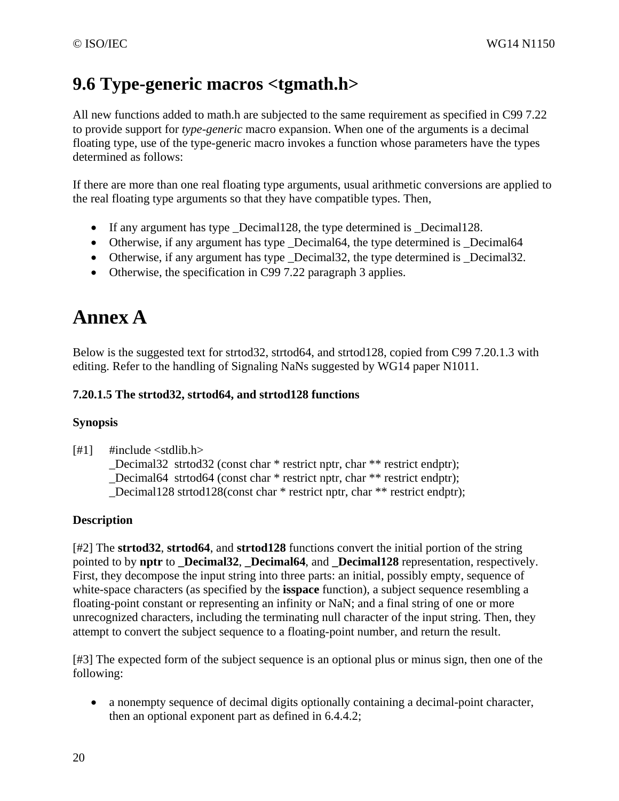## **9.6 Type-generic macros <tgmath.h>**

All new functions added to math.h are subjected to the same requirement as specified in C99 7.22 to provide support for *type-generic* macro expansion. When one of the arguments is a decimal floating type, use of the type-generic macro invokes a function whose parameters have the types determined as follows:

If there are more than one real floating type arguments, usual arithmetic conversions are applied to the real floating type arguments so that they have compatible types. Then,

- If any argument has type \_Decimal128, the type determined is \_Decimal128.
- Otherwise, if any argument has type Decimal64, the type determined is Decimal64
- Otherwise, if any argument has type Decimal32, the type determined is Decimal32.
- Otherwise, the specification in C99 7.22 paragraph 3 applies.

# **Annex A**

Below is the suggested text for strtod32, strtod64, and strtod128, copied from C99 7.20.1.3 with editing. Refer to the handling of Signaling NaNs suggested by WG14 paper N1011.

### **7.20.1.5 The strtod32, strtod64, and strtod128 functions**

### **Synopsis**

 $[#1]$  #include <stdlib.h>

\_Decimal32 strtod32 (const char \* restrict nptr, char \*\* restrict endptr); \_Decimal64 strtod64 (const char \* restrict nptr, char \*\* restrict endptr); Decimal128 strtod128(const char  $*$  restrict nptr, char  $**$  restrict endptr);

### **Description**

[#2] The **strtod32**, **strtod64**, and **strtod128** functions convert the initial portion of the string pointed to by **nptr** to **Decimal32**, **Decimal64**, and **Decimal128** representation, respectively. First, they decompose the input string into three parts: an initial, possibly empty, sequence of white-space characters (as specified by the **isspace** function), a subject sequence resembling a floating-point constant or representing an infinity or NaN; and a final string of one or more unrecognized characters, including the terminating null character of the input string. Then, they attempt to convert the subject sequence to a floating-point number, and return the result.

[#3] The expected form of the subject sequence is an optional plus or minus sign, then one of the following:

• a nonempty sequence of decimal digits optionally containing a decimal-point character, then an optional exponent part as defined in 6.4.4.2;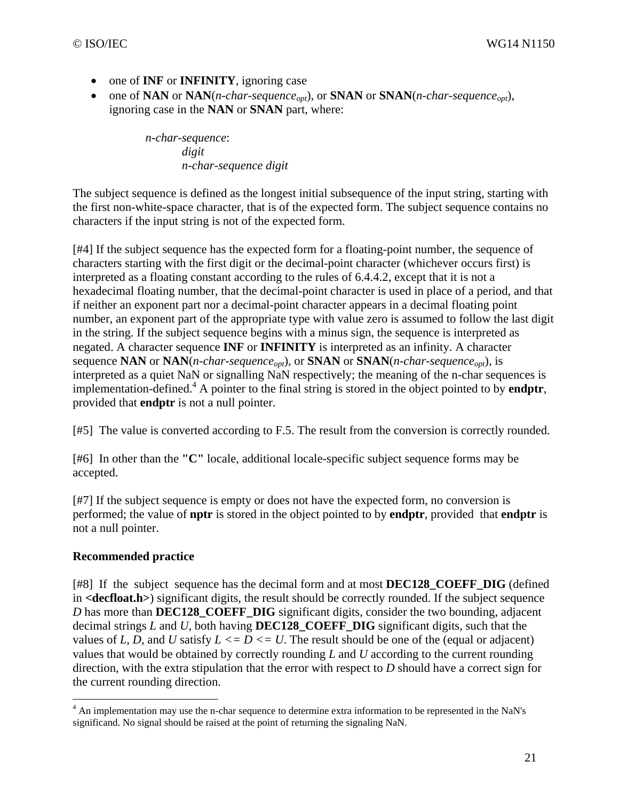- one of **INF** or **INFINITY**, ignoring case
- one of **NAN** or **NAN**(*n-char-sequence<sub>ont</sub>*), or **SNAN** or **SNAN**(*n-char-sequence<sub>ont</sub>)*, ignoring case in the **NAN** or **SNAN** part, where:

*n-char-sequence*: *digit n-char-sequence digit* 

The subject sequence is defined as the longest initial subsequence of the input string, starting with the first non-white-space character, that is of the expected form. The subject sequence contains no characters if the input string is not of the expected form.

[#4] If the subject sequence has the expected form for a floating-point number, the sequence of characters starting with the first digit or the decimal-point character (whichever occurs first) is interpreted as a floating constant according to the rules of 6.4.4.2, except that it is not a hexadecimal floating number, that the decimal-point character is used in place of a period, and that if neither an exponent part nor a decimal-point character appears in a decimal floating point number, an exponent part of the appropriate type with value zero is assumed to follow the last digit in the string. If the subject sequence begins with a minus sign, the sequence is interpreted as negated. A character sequence **INF** or **INFINITY** is interpreted as an infinity. A character sequence **NAN** or **NAN**(*n-char-sequence<sub>opt</sub>*), or **SNAN** or **SNAN**(*n-char-sequence<sub>opt</sub>)*, is interpreted as a quiet NaN or signalling NaN respectively; the meaning of the n-char sequences is implementation-defined.4 A pointer to the final string is stored in the object pointed to by **endptr**, provided that **endptr** is not a null pointer.

[#5] The value is converted according to F.5. The result from the conversion is correctly rounded.

[#6] In other than the **"C"** locale, additional locale-specific subject sequence forms may be accepted.

[#7] If the subject sequence is empty or does not have the expected form, no conversion is performed; the value of **nptr** is stored in the object pointed to by **endptr**, provided that **endptr** is not a null pointer.

### **Recommended practice**

[#8] If the subject sequence has the decimal form and at most **DEC128\_COEFF\_DIG** (defined in **<decfloat.h>**) significant digits, the result should be correctly rounded. If the subject sequence *D* has more than **DEC128\_COEFF\_DIG** significant digits, consider the two bounding, adjacent decimal strings *L* and *U*, both having **DEC128\_COEFF\_DIG** significant digits, such that the values of *L*, *D*, and *U* satisfy  $L \leq D \leq U$ . The result should be one of the (equal or adjacent) values that would be obtained by correctly rounding *L* and *U* according to the current rounding direction, with the extra stipulation that the error with respect to *D* should have a correct sign for the current rounding direction.

 4 An implementation may use the n-char sequence to determine extra information to be represented in the NaN's significand. No signal should be raised at the point of returning the signaling NaN.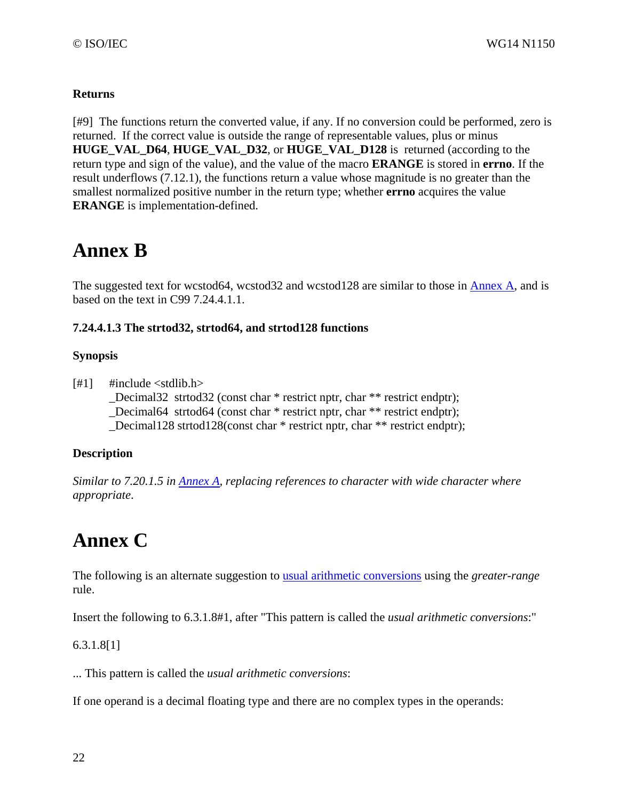### **Returns**

[#9] The functions return the converted value, if any. If no conversion could be performed, zero is returned. If the correct value is outside the range of representable values, plus or minus **HUGE\_VAL\_D64**, **HUGE\_VAL\_D32**, or **HUGE\_VAL\_D128** is returned (according to the return type and sign of the value), and the value of the macro **ERANGE** is stored in **errno**. If the result underflows (7.12.1), the functions return a value whose magnitude is no greater than the smallest normalized positive number in the return type; whether **errno** acquires the value **ERANGE** is implementation-defined.

# **Annex B**

The suggested text for wcstod64, wcstod32 and wcstod128 are similar to those in Annex A, and is based on the text in C99 7.24.4.1.1.

### **7.24.4.1.3 The strtod32, strtod64, and strtod128 functions**

### **Synopsis**

 $[#1]$  #include <stdlib.h> Decimal32 strtod32 (const char \* restrict nptr, char \*\* restrict endptr); \_Decimal64 strtod64 (const char \* restrict nptr, char \*\* restrict endptr); Decimal128 strtod128(const char  $*$  restrict nptr, char  $**$  restrict endptr);

### **Description**

*Similar to 7.20.1.5 in Annex A, replacing references to character with wide character where appropriate*.

# **Annex C**

The following is an alternate suggestion to usual arithmetic conversions using the *greater-range* rule.

Insert the following to 6.3.1.8#1, after "This pattern is called the *usual arithmetic conversions*:"

### 6.3.1.8[1]

... This pattern is called the *usual arithmetic conversions*:

If one operand is a decimal floating type and there are no complex types in the operands: